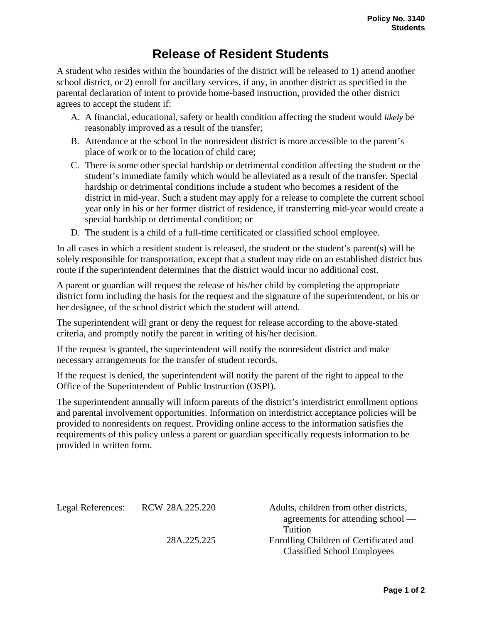## **Release of Resident Students**

A student who resides within the boundaries of the district will be released to 1) attend another school district, or 2) enroll for ancillary services, if any, in another district as specified in the parental declaration of intent to provide home-based instruction, provided the other district agrees to accept the student if:

- A. A financial, educational, safety or health condition affecting the student would *likely* be reasonably improved as a result of the transfer;
- B. Attendance at the school in the nonresident district is more accessible to the parent's place of work or to the location of child care;
- C. There is some other special hardship or detrimental condition affecting the student or the student's immediate family which would be alleviated as a result of the transfer. Special hardship or detrimental conditions include a student who becomes a resident of the district in mid-year. Such a student may apply for a release to complete the current school year only in his or her former district of residence, if transferring mid-year would create a special hardship or detrimental condition; or
- D. The student is a child of a full-time certificated or classified school employee.

In all cases in which a resident student is released, the student or the student's parent(s) will be solely responsible for transportation, except that a student may ride on an established district bus route if the superintendent determines that the district would incur no additional cost.

A parent or guardian will request the release of his/her child by completing the appropriate district form including the basis for the request and the signature of the superintendent, or his or her designee, of the school district which the student will attend.

The superintendent will grant or deny the request for release according to the above-stated criteria, and promptly notify the parent in writing of his/her decision.

If the request is granted, the superintendent will notify the nonresident district and make necessary arrangements for the transfer of student records.

If the request is denied, the superintendent will notify the parent of the right to appeal to the Office of the Superintendent of Public Instruction (OSPI).

The superintendent annually will inform parents of the district's interdistrict enrollment options and parental involvement opportunities. Information on interdistrict acceptance policies will be provided to nonresidents on request. Providing online access to the information satisfies the requirements of this policy unless a parent or guardian specifically requests information to be provided in written form.

| Legal References: | RCW 28A.225.220 | Adults, children from other districts,<br>agreements for attending school $-$ |
|-------------------|-----------------|-------------------------------------------------------------------------------|
|                   |                 | Tuition                                                                       |
|                   | 28A.225.225     | Enrolling Children of Certificated and<br><b>Classified School Employees</b>  |